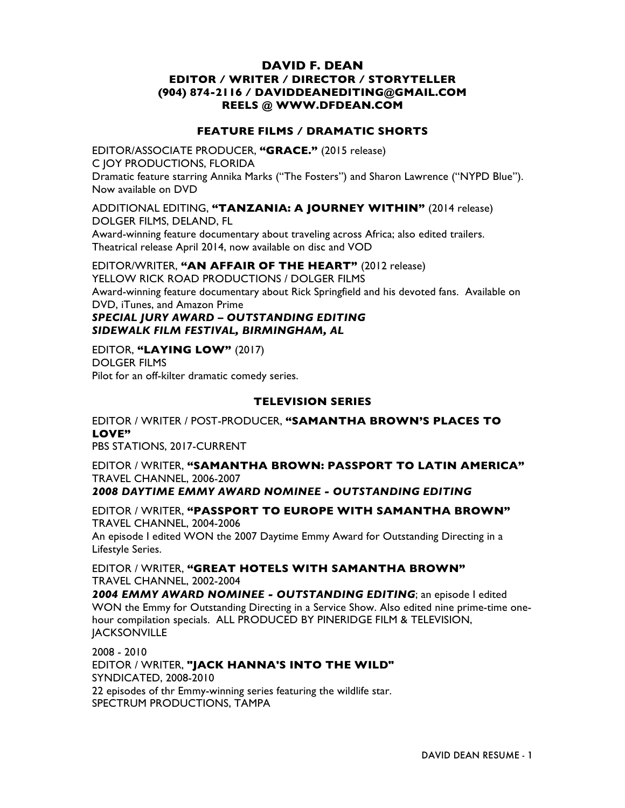## **DAVID F. DEAN EDITOR / WRITER / DIRECTOR / STORYTELLER (904) 874-2116 / DAVIDDEANEDITING@GMAIL.COM REELS @ WWW.DFDEAN.COM**

## **FEATURE FILMS / DRAMATIC SHORTS**

EDITOR/ASSOCIATE PRODUCER, **"GRACE."** (2015 release) C JOY PRODUCTIONS, FLORIDA Dramatic feature starring Annika Marks ("The Fosters") and Sharon Lawrence ("NYPD Blue"). Now available on DVD

## ADDITIONAL EDITING, **"TANZANIA: A JOURNEY WITHIN"** (2014 release) DOLGER FILMS, DELAND, FL

Award-winning feature documentary about traveling across Africa; also edited trailers. Theatrical release April 2014, now available on disc and VOD

## EDITOR/WRITER, **"AN AFFAIR OF THE HEART"** (2012 release)

YELLOW RICK ROAD PRODUCTIONS / DOLGER FILMS Award-winning feature documentary about Rick Springfield and his devoted fans. Available on DVD, iTunes, and Amazon Prime

# *SPECIAL JURY AWARD – OUTSTANDING EDITING SIDEWALK FILM FESTIVAL, BIRMINGHAM, AL*

EDITOR, **"LAYING LOW"** (2017) DOLGER FILMS Pilot for an off-kilter dramatic comedy series.

## **TELEVISION SERIES**

EDITOR / WRITER / POST-PRODUCER, **"SAMANTHA BROWN'S PLACES TO LOVE"** PBS STATIONS, 2017-CURRENT

EDITOR / WRITER, **"SAMANTHA BROWN: PASSPORT TO LATIN AMERICA"** TRAVEL CHANNEL, 2006-2007 *2008 DAYTIME EMMY AWARD NOMINEE - OUTSTANDING EDITING*

EDITOR / WRITER, **"PASSPORT TO EUROPE WITH SAMANTHA BROWN"** TRAVEL CHANNEL, 2004-2006 An episode I edited WON the 2007 Daytime Emmy Award for Outstanding Directing in a Lifestyle Series.

EDITOR / WRITER, **"GREAT HOTELS WITH SAMANTHA BROWN"** TRAVEL CHANNEL, 2002-2004

*2004 EMMY AWARD NOMINEE - OUTSTANDING EDITING*; an episode I edited WON the Emmy for Outstanding Directing in a Service Show. Also edited nine prime-time onehour compilation specials. ALL PRODUCED BY PINERIDGE FILM & TELEVISION, **JACKSONVILLE** 

2008 - 2010 EDITOR / WRITER, **"JACK HANNA'S INTO THE WILD"** SYNDICATED, 2008-2010 22 episodes of thr Emmy-winning series featuring the wildlife star. SPECTRUM PRODUCTIONS, TAMPA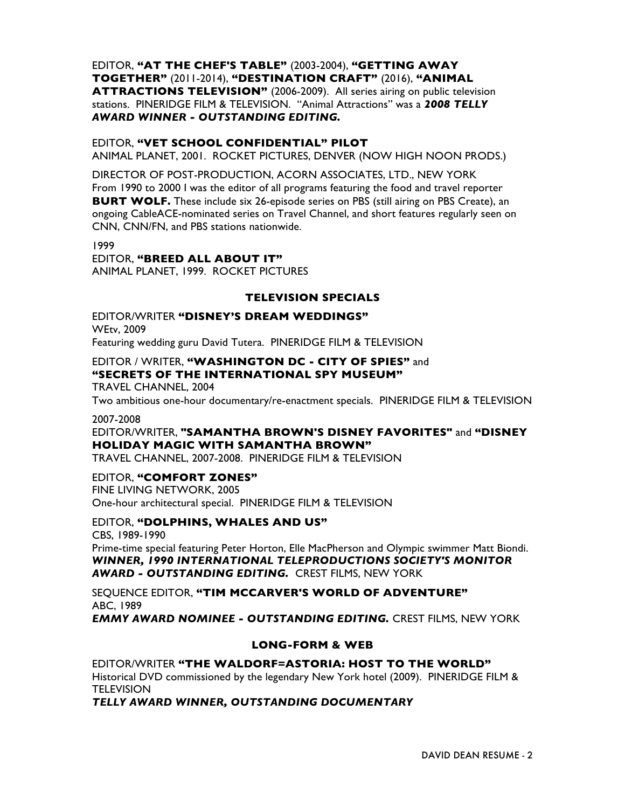EDITOR, **"AT THE CHEF'S TABLE"** (2003-2004), **"GETTING AWAY TOGETHER"** (2011-2014), **"DESTINATION CRAFT"** (2016), **"ANIMAL ATTRACTIONS TELEVISION"** (2006-2009). All series airing on public television stations. PINERIDGE FILM & TELEVISION. "Animal Attractions" was a *2008 TELLY AWARD WINNER - OUTSTANDING EDITING.*

### EDITOR, **"VET SCHOOL CONFIDENTIAL" PILOT**

ANIMAL PLANET, 2001. ROCKET PICTURES, DENVER (NOW HIGH NOON PRODS.)

DIRECTOR OF POST-PRODUCTION, ACORN ASSOCIATES, LTD., NEW YORK From 1990 to 2000 I was the editor of all programs featuring the food and travel reporter **BURT WOLF.** These include six 26-episode series on PBS (still airing on PBS Create), an ongoing CableACE-nominated series on Travel Channel, and short features regularly seen on CNN, CNN/FN, and PBS stations nationwide.

1999 EDITOR, **"BREED ALL ABOUT IT"** ANIMAL PLANET, 1999. ROCKET PICTURES

## **TELEVISION SPECIALS**

EDITOR/WRITER **"DISNEY'S DREAM WEDDINGS"** WEtv, 2009 Featuring wedding guru David Tutera. PINERIDGE FILM & TELEVISION

## EDITOR / WRITER, **"WASHINGTON DC - CITY OF SPIES"** and **"SECRETS OF THE INTERNATIONAL SPY MUSEUM"**

TRAVEL CHANNEL, 2004

Two ambitious one-hour documentary/re-enactment specials. PINERIDGE FILM & TELEVISION

#### 2007-2008

EDITOR/WRITER, **"SAMANTHA BROWN'S DISNEY FAVORITES"** and **"DISNEY HOLIDAY MAGIC WITH SAMANTHA BROWN"**

TRAVEL CHANNEL, 2007-2008. PINERIDGE FILM & TELEVISION

### EDITOR, **"COMFORT ZONES"**

FINE LIVING NETWORK, 2005 One-hour architectural special. PINERIDGE FILM & TELEVISION

### EDITOR, **"DOLPHINS, WHALES AND US"**

CBS, 1989-1990

Prime-time special featuring Peter Horton, Elle MacPherson and Olympic swimmer Matt Biondi. *WINNER, 1990 INTERNATIONAL TELEPRODUCTIONS SOCIETY'S MONITOR AWARD - OUTSTANDING EDITING.* CREST FILMS, NEW YORK

SEQUENCE EDITOR, **"TIM MCCARVER'S WORLD OF ADVENTURE"** ABC, 1989

*EMMY AWARD NOMINEE - OUTSTANDING EDITING.* CREST FILMS, NEW YORK

## **LONG-FORM & WEB**

EDITOR/WRITER **"THE WALDORF=ASTORIA: HOST TO THE WORLD"** Historical DVD commissioned by the legendary New York hotel (2009). PINERIDGE FILM & **TELEVISION** 

*TELLY AWARD WINNER, OUTSTANDING DOCUMENTARY*